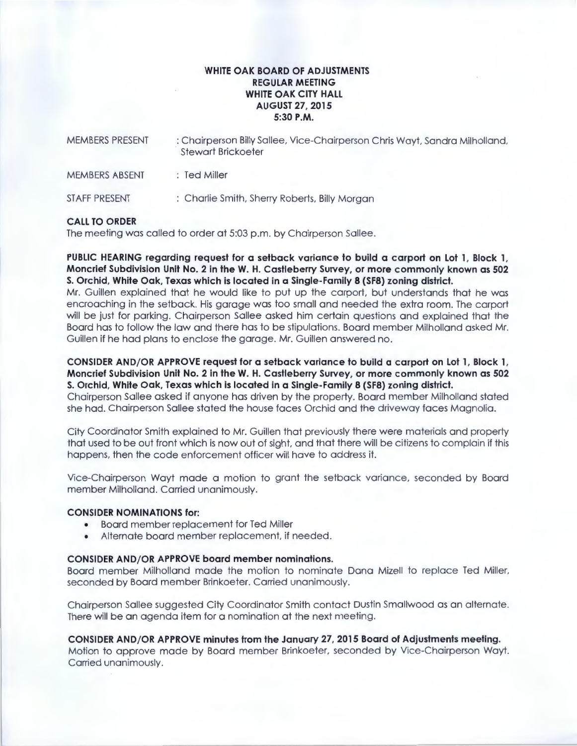# **WHITE OAK BOARD OF ADJUSTMENTS REGULAR MEETING WHITE OAK CITY HALL AUGUST 27, 2015 5:30P.M.**

| MEMBERS PRESENT<br>MEMBERS ABSENT<br><b>STAFF PRESENT</b> | : Chairperson Billy Sallee, Vice-Chairperson Chris Wayt, Sandra Milholland,<br><b>Stewart Brickoeter</b><br>$\therefore$ Ted Miller<br>: Charlie Smith, Sherry Roberts, Billy Morgan |
|-----------------------------------------------------------|--------------------------------------------------------------------------------------------------------------------------------------------------------------------------------------|
|-----------------------------------------------------------|--------------------------------------------------------------------------------------------------------------------------------------------------------------------------------------|

### **CALL TO ORDER**

The meeting was called to order at 5:03 p.m. by Chairperson Sallee.

**PUBLIC HEARING regarding request for a setback variance to build a carport on Lot 1, Block 1, Moncrief Subdivision Unit No. 2 in theW. H. Castleberry Survey, or more commonly known as 502 S. Orchid, White Oak, Texas which is located in a Single-Family 8 (SF8) zoning district.** 

Mr. Guillen explained that he would like to put up the carport, but understands that he was encroaching in the setback. His garage was too small and needed the extra room . The carport will be just for parking. Chairperson Sallee asked him certain questions and explained that the Board has to follow the law and there has to be stipulations. Board member Milholland asked Mr. Guillen if he had plans to enclose the garage. Mr. Guillen answered no.

**CONSIDER AND/OR APPROVE request for a setback variance to build a carport on Lot 1, Block 1, Moncrief Subdivision Unit No. 2 in theW. H. Castleberry Survey, or more commonly known as 502 S. Orchid, White Oak, Texas which is located in a Single-Family 8 (SF8) zoning district.** 

Chairperson Sallee asked if anyone has driven by the property. Board member Milholland stated she had. Chairperson Sallee stated the house faces Orchid and the driveway faces Magnolia.

City Coordinator Smith explained to Mr. Guillen that previously there were materials and property that used to be out front which is now out of sight, and that there will be citizens to complain if this happens, then the code enforcement officer will have to address it.

Vice-Chairperson Wayt made a motion to grant the setback variance. seconded by Board member Milholland. Carried unanimously.

#### **CONSIDER NOMINATIONS for:**

- Board member replacement for Ted Miller
- Alternate board member replacement, if needed.

#### **CONSIDER AND/OR APPROVE board member nominations.**

Board member Milholland made the motion to nominate Dana Mizell to replace Ted Miller, seconded by Board member Brinkoeter. Carried unanimously.

Chairperson Sallee suggested City Coordinator Smith contact Dustin Smallwood as an alternate. There will be an agenda item for a nomination at the next meeting.

**CONSIDER AND/OR APPROVE minutes from the January 27, 2015 Board of Adjustments meeting.**  Motion to approve made by Board member Brinkoeter, seconded by Vice-Chairperson Wayt. Carried unanimously.